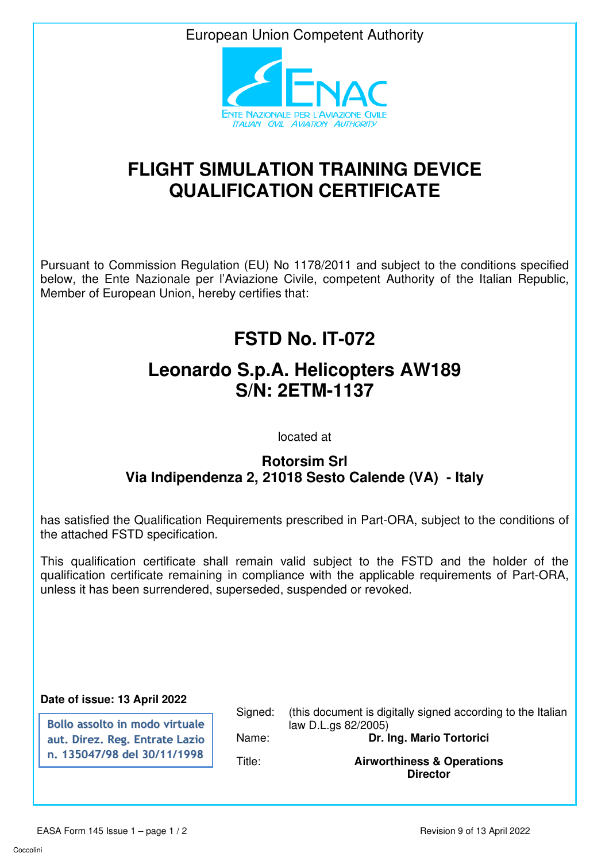European Union Competent Authority



## **FLIGHT SIMULATION TRAINING DEVICE QUALIFICATION CERTIFICATE**

Pursuant to Commission Regulation (EU) No 1178/2011 and subject to the conditions specified below, the Ente Nazionale per l'Aviazione Civile, competent Authority of the Italian Republic, Member of European Union, hereby certifies that:

## **FSTD No. IT-072**

## **Leonardo S.p.A. Helicopters AW189 S/N: 2ETM-1137**

located at

## **Rotorsim Srl Via Indipendenza 2, 21018 Sesto Calende (VA) - Italy**

has satisfied the Qualification Requirements prescribed in Part-ORA, subject to the conditions of the attached FSTD specification.

This qualification certificate shall remain valid subject to the FSTD and the holder of the qualification certificate remaining in compliance with the applicable requirements of Part-ORA, unless it has been surrendered, superseded, suspended or revoked.

**Date of issue: 13 April 2022**

**Bollo assolto in modo virtuale aut. Direz. Reg. Entrate Lazio n. 135047/98 del 30/11/1998**

Signed: (this document is digitally signed according to the Italian law D.L.gs 82/2005) Name: **Dr. Ing. Mario Tortorici**  Title: **Airworthiness & Operations** 

**Director**